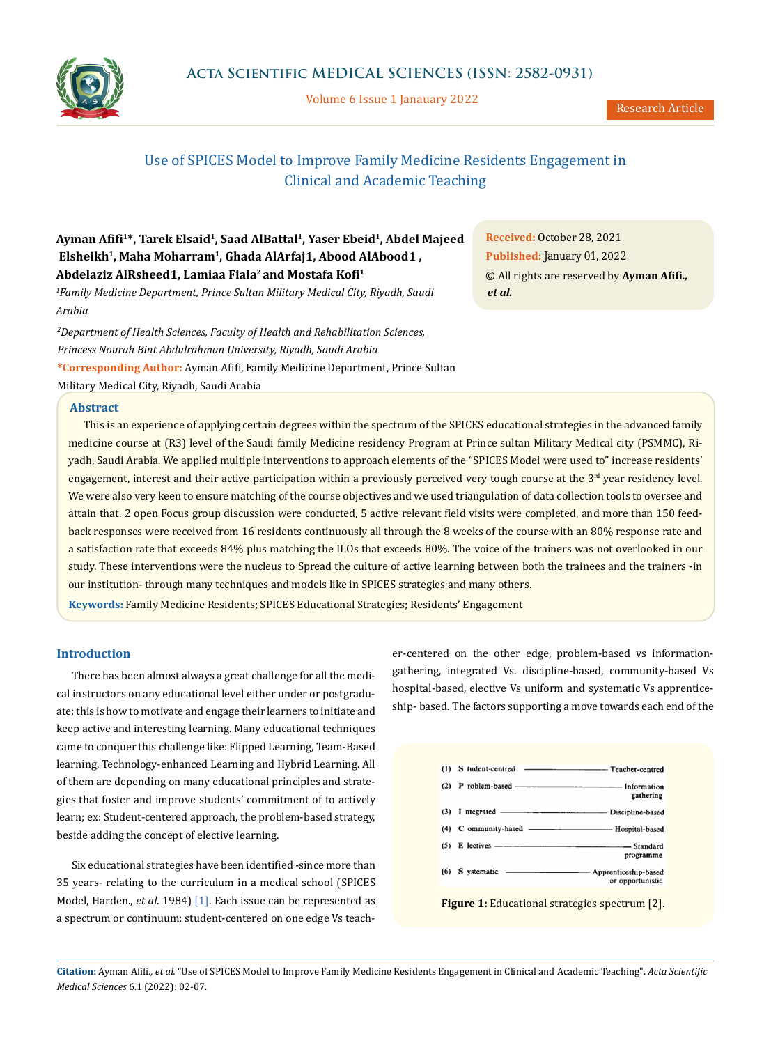

Volume 6 Issue 1 Janauary 2022

# Use of SPICES Model to Improve Family Medicine Residents Engagement in Clinical and Academic Teaching

## **Ayman Afifi<sup>1</sup> \*, Tarek Elsaid<sup>1</sup> , Saad AlBattal<sup>1</sup> , Yaser Ebeid<sup>1</sup> , Abdel Majeed Elsheikh<sup>1</sup> , Maha Moharram<sup>1</sup> , Ghada AlArfaj1, Abood AlAbood1 , Abdelaziz AlRsheed1, Lamiaa Fiala<sup>2</sup>and Mostafa Kofi<sup>1</sup>**

*1 Family Medicine Department, Prince Sultan Military Medical City, Riyadh, Saudi Arabia*

**\*Corresponding Author:** Ayman Afifi, Family Medicine Department, Prince Sultan Military Medical City, Riyadh, Saudi Arabia *2 Department of Health Sciences, Faculty of Health and Rehabilitation Sciences, Princess Nourah Bint Abdulrahman University, Riyadh, Saudi Arabia*

## **Abstract**

This is an experience of applying certain degrees within the spectrum of the SPICES educational strategies in the advanced family medicine course at (R3) level of the Saudi family Medicine residency Program at Prince sultan Military Medical city (PSMMC), Riyadh, Saudi Arabia. We applied multiple interventions to approach elements of the "SPICES Model were used to" increase residents' engagement, interest and their active participation within a previously perceived very tough course at the  $3<sup>rd</sup>$  year residency level. We were also very keen to ensure matching of the course objectives and we used triangulation of data collection tools to oversee and attain that. 2 open Focus group discussion were conducted, 5 active relevant field visits were completed, and more than 150 feedback responses were received from 16 residents continuously all through the 8 weeks of the course with an 80% response rate and a satisfaction rate that exceeds 84% plus matching the ILOs that exceeds 80%. The voice of the trainers was not overlooked in our study. These interventions were the nucleus to Spread the culture of active learning between both the trainees and the trainers -in our institution- through many techniques and models like in SPICES strategies and many others.

**Keywords:** Family Medicine Residents; SPICES Educational Strategies; Residents' Engagement

## **Introduction**

There has been almost always a great challenge for all the medical instructors on any educational level either under or postgraduate; this is how to motivate and engage their learners to initiate and keep active and interesting learning. Many educational techniques came to conquer this challenge like: Flipped Learning, Team-Based learning, Technology-enhanced Learning and Hybrid Learning. All of them are depending on many educational principles and strategies that foster and improve students' commitment of to actively learn; ex: Student-centered approach, the problem-based strategy, beside adding the concept of elective learning.

Six educational strategies have been identified -since more than 35 years- relating to the curriculum in a medical school (SPICES Model, Harden., *et al*. 1984) [1]. Each issue can be represented as a spectrum or continuum: student-centered on one edge Vs teacher-centered on the other edge, problem-based vs informationgathering, integrated Vs. discipline-based, community-based Vs hospital-based, elective Vs uniform and systematic Vs apprenticeship- based. The factors supporting a move towards each end of the

| gathering                                                  |
|------------------------------------------------------------|
|                                                            |
| (4) C ommunity-based ————————————— Hospital-based          |
| programme                                                  |
| (6) S ystematic - Apprenticeship-based<br>or opportunistic |

**Citation:** Ayman Afifi*., et al.* "Use of SPICES Model to Improve Family Medicine Residents Engagement in Clinical and Academic Teaching". *Acta Scientific Medical Sciences* 6.1 (2022): 02-07.

*et al.*  **Received:** October 28, 2021 **Published:** January 01, 2022 © All rights are reserved by **Ayman Afifi***.,*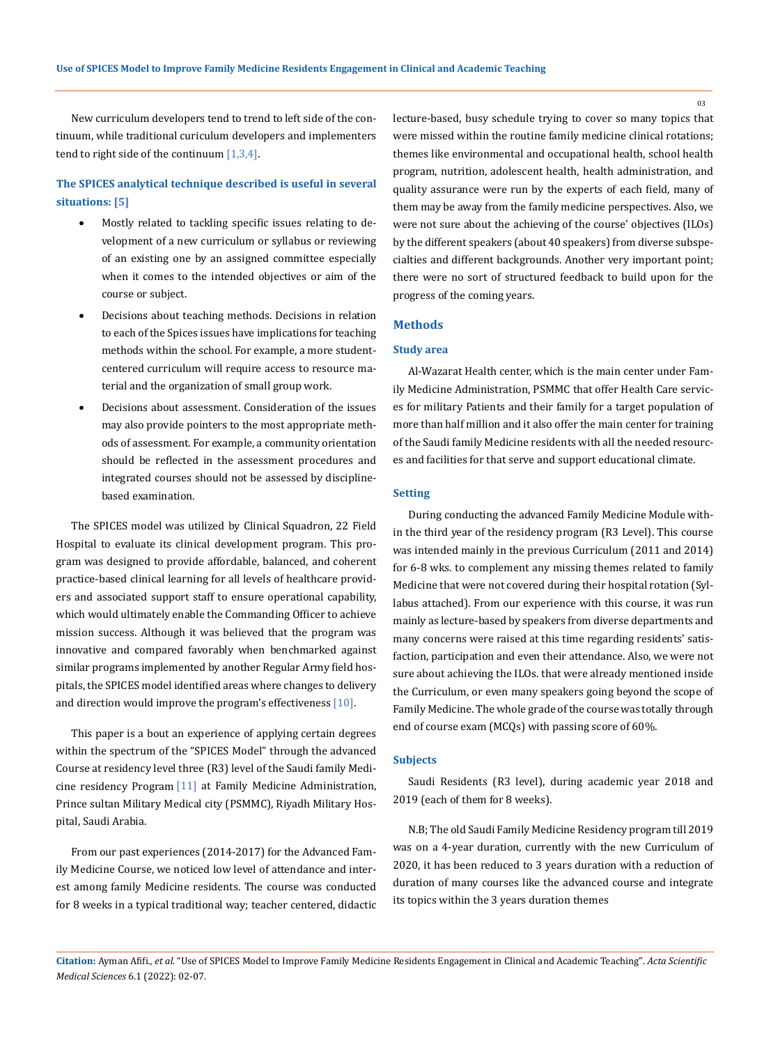New curriculum developers tend to trend to left side of the continuum, while traditional curiculum developers and implementers tend to right side of the continuum  $[1,3,4]$ .

## **The SPICES analytical technique described is useful in several situations: [5]**

- Mostly related to tackling specific issues relating to development of a new curriculum or syllabus or reviewing of an existing one by an assigned committee especially when it comes to the intended objectives or aim of the course or subject.
- Decisions about teaching methods. Decisions in relation to each of the Spices issues have implications for teaching methods within the school. For example, a more studentcentered curriculum will require access to resource material and the organization of small group work.
- Decisions about assessment. Consideration of the issues may also provide pointers to the most appropriate methods of assessment. For example, a community orientation should be reflected in the assessment procedures and integrated courses should not be assessed by disciplinebased examination.

The SPICES model was utilized by Clinical Squadron, 22 Field Hospital to evaluate its clinical development program. This program was designed to provide affordable, balanced, and coherent practice-based clinical learning for all levels of healthcare providers and associated support staff to ensure operational capability, which would ultimately enable the Commanding Officer to achieve mission success. Although it was believed that the program was innovative and compared favorably when benchmarked against similar programs implemented by another Regular Army field hospitals, the SPICES model identified areas where changes to delivery and direction would improve the program's effectiveness [10].

This paper is a bout an experience of applying certain degrees within the spectrum of the "SPICES Model" through the advanced Course at residency level three (R3) level of the Saudi family Medicine residency Program [11] at Family Medicine Administration, Prince sultan Military Medical city (PSMMC), Riyadh Military Hospital, Saudi Arabia.

From our past experiences (2014-2017) for the Advanced Family Medicine Course, we noticed low level of attendance and interest among family Medicine residents. The course was conducted for 8 weeks in a typical traditional way; teacher centered, didactic lecture-based, busy schedule trying to cover so many topics that were missed within the routine family medicine clinical rotations; themes like environmental and occupational health, school health program, nutrition, adolescent health, health administration, and quality assurance were run by the experts of each field, many of them may be away from the family medicine perspectives. Also, we were not sure about the achieving of the course' objectives (ILOs) by the different speakers (about 40 speakers) from diverse subspecialties and different backgrounds. Another very important point; there were no sort of structured feedback to build upon for the progress of the coming years.

### **Methods**

#### **Study area**

Al-Wazarat Health center, which is the main center under Family Medicine Administration, PSMMC that offer Health Care services for military Patients and their family for a target population of more than half million and it also offer the main center for training of the Saudi family Medicine residents with all the needed resources and facilities for that serve and support educational climate.

### **Setting**

During conducting the advanced Family Medicine Module within the third year of the residency program (R3 Level). This course was intended mainly in the previous Curriculum (2011 and 2014) for 6-8 wks. to complement any missing themes related to family Medicine that were not covered during their hospital rotation (Syllabus attached). From our experience with this course, it was run mainly as lecture-based by speakers from diverse departments and many concerns were raised at this time regarding residents' satisfaction, participation and even their attendance. Also, we were not sure about achieving the ILOs. that were already mentioned inside the Curriculum, or even many speakers going beyond the scope of Family Medicine. The whole grade of the course was totally through end of course exam (MCQs) with passing score of 60%.

## **Subjects**

Saudi Residents (R3 level), during academic year 2018 and 2019 (each of them for 8 weeks).

N.B; The old Saudi Family Medicine Residency program till 2019 was on a 4-year duration, currently with the new Curriculum of 2020, it has been reduced to 3 years duration with a reduction of duration of many courses like the advanced course and integrate its topics within the 3 years duration themes

03

**Citation:** Ayman Afifi*., et al.* "Use of SPICES Model to Improve Family Medicine Residents Engagement in Clinical and Academic Teaching". *Acta Scientific Medical Sciences* 6.1 (2022): 02-07.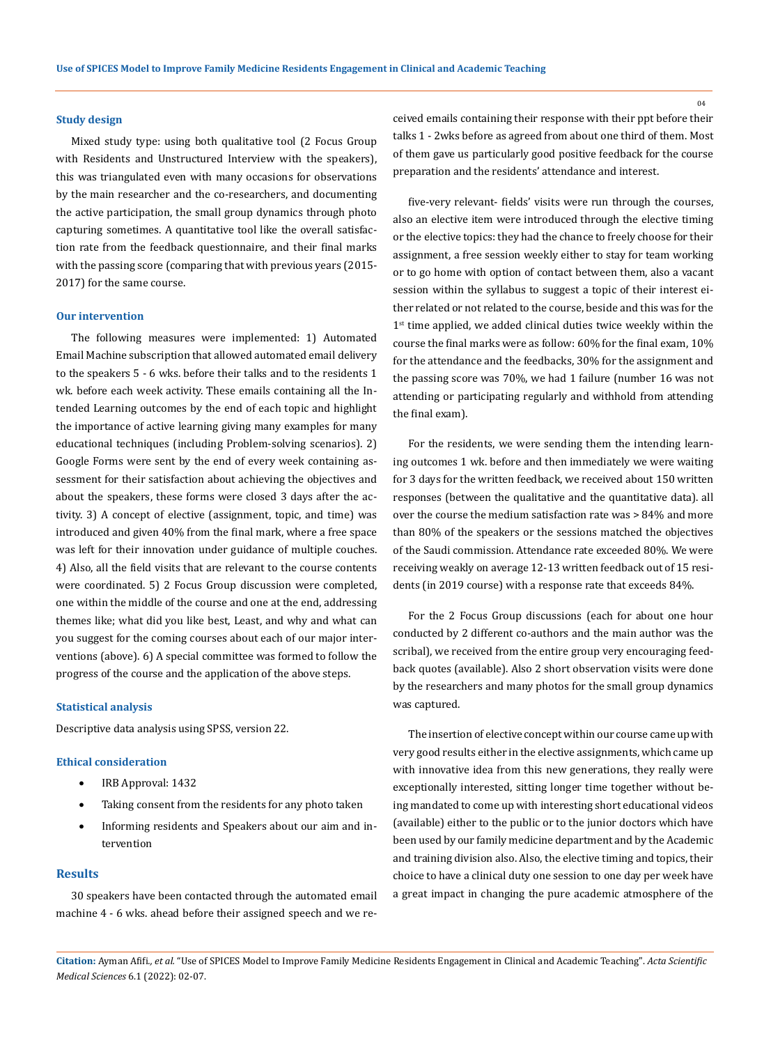#### **Study design**

Mixed study type: using both qualitative tool (2 Focus Group with Residents and Unstructured Interview with the speakers), this was triangulated even with many occasions for observations by the main researcher and the co-researchers, and documenting the active participation, the small group dynamics through photo capturing sometimes. A quantitative tool like the overall satisfaction rate from the feedback questionnaire, and their final marks with the passing score (comparing that with previous years (2015- 2017) for the same course.

#### **Our intervention**

The following measures were implemented: 1) Automated Email Machine subscription that allowed automated email delivery to the speakers 5 - 6 wks. before their talks and to the residents 1 wk. before each week activity. These emails containing all the Intended Learning outcomes by the end of each topic and highlight the importance of active learning giving many examples for many educational techniques (including Problem-solving scenarios). 2) Google Forms were sent by the end of every week containing assessment for their satisfaction about achieving the objectives and about the speakers, these forms were closed 3 days after the activity. 3) A concept of elective (assignment, topic, and time) was introduced and given 40% from the final mark, where a free space was left for their innovation under guidance of multiple couches. 4) Also, all the field visits that are relevant to the course contents were coordinated. 5) 2 Focus Group discussion were completed, one within the middle of the course and one at the end, addressing themes like; what did you like best, Least, and why and what can you suggest for the coming courses about each of our major interventions (above). 6) A special committee was formed to follow the progress of the course and the application of the above steps.

## **Statistical analysis**

Descriptive data analysis using SPSS, version 22.

#### **Ethical consideration**

- IRB Approval: 1432
- Taking consent from the residents for any photo taken
- Informing residents and Speakers about our aim and intervention

## **Results**

30 speakers have been contacted through the automated email machine 4 - 6 wks. ahead before their assigned speech and we received emails containing their response with their ppt before their talks 1 - 2wks before as agreed from about one third of them. Most of them gave us particularly good positive feedback for the course preparation and the residents' attendance and interest.

five-very relevant- fields' visits were run through the courses, also an elective item were introduced through the elective timing or the elective topics: they had the chance to freely choose for their assignment, a free session weekly either to stay for team working or to go home with option of contact between them, also a vacant session within the syllabus to suggest a topic of their interest either related or not related to the course, beside and this was for the 1<sup>st</sup> time applied, we added clinical duties twice weekly within the course the final marks were as follow: 60% for the final exam, 10% for the attendance and the feedbacks, 30% for the assignment and the passing score was 70%, we had 1 failure (number 16 was not attending or participating regularly and withhold from attending the final exam).

For the residents, we were sending them the intending learning outcomes 1 wk. before and then immediately we were waiting for 3 days for the written feedback, we received about 150 written responses (between the qualitative and the quantitative data). all over the course the medium satisfaction rate was > 84% and more than 80% of the speakers or the sessions matched the objectives of the Saudi commission. Attendance rate exceeded 80%. We were receiving weakly on average 12-13 written feedback out of 15 residents (in 2019 course) with a response rate that exceeds 84%.

For the 2 Focus Group discussions (each for about one hour conducted by 2 different co-authors and the main author was the scribal), we received from the entire group very encouraging feedback quotes (available). Also 2 short observation visits were done by the researchers and many photos for the small group dynamics was captured.

The insertion of elective concept within our course came up with very good results either in the elective assignments, which came up with innovative idea from this new generations, they really were exceptionally interested, sitting longer time together without being mandated to come up with interesting short educational videos (available) either to the public or to the junior doctors which have been used by our family medicine department and by the Academic and training division also. Also, the elective timing and topics, their choice to have a clinical duty one session to one day per week have a great impact in changing the pure academic atmosphere of the

**Citation:** Ayman Afifi*., et al.* "Use of SPICES Model to Improve Family Medicine Residents Engagement in Clinical and Academic Teaching". *Acta Scientific Medical Sciences* 6.1 (2022): 02-07.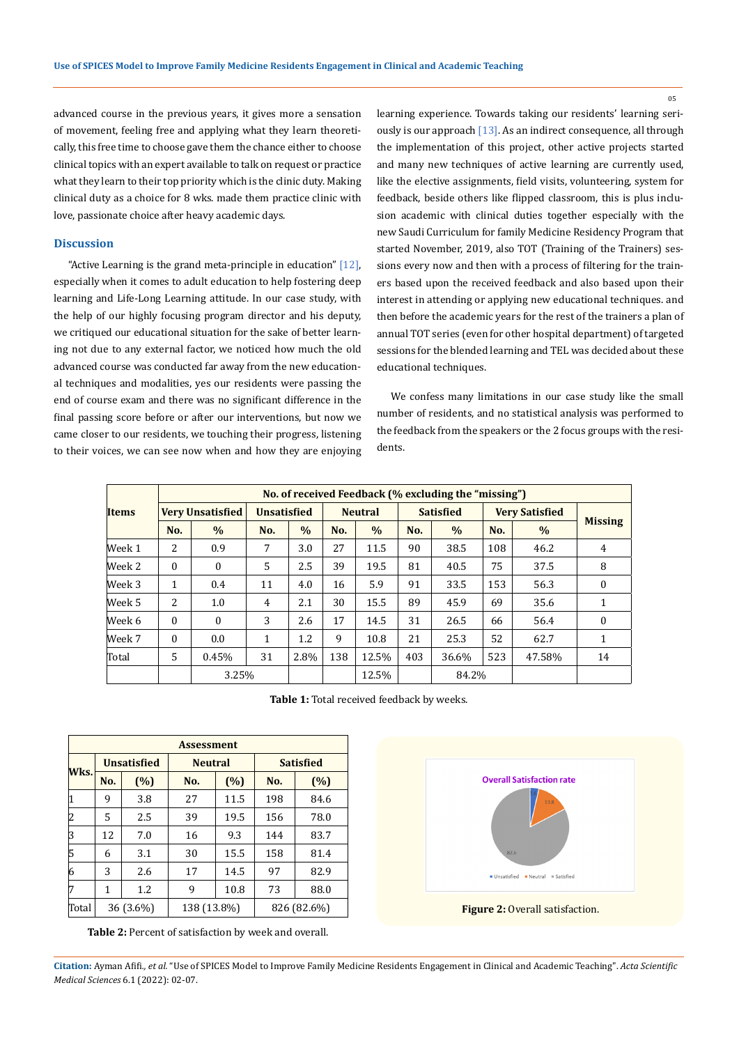advanced course in the previous years, it gives more a sensation of movement, feeling free and applying what they learn theoretically, this free time to choose gave them the chance either to choose clinical topics with an expert available to talk on request or practice what they learn to their top priority which is the clinic duty. Making clinical duty as a choice for 8 wks. made them practice clinic with love, passionate choice after heavy academic days.

## **Discussion**

"Active Learning is the grand meta-principle in education" [12], especially when it comes to adult education to help fostering deep learning and Life-Long Learning attitude. In our case study, with the help of our highly focusing program director and his deputy, we critiqued our educational situation for the sake of better learning not due to any external factor, we noticed how much the old advanced course was conducted far away from the new educational techniques and modalities, yes our residents were passing the end of course exam and there was no significant difference in the final passing score before or after our interventions, but now we came closer to our residents, we touching their progress, listening to their voices, we can see now when and how they are enjoying learning experience. Towards taking our residents' learning seriously is our approach [13]. As an indirect consequence, all through the implementation of this project, other active projects started and many new techniques of active learning are currently used, like the elective assignments, field visits, volunteering, system for feedback, beside others like flipped classroom, this is plus inclusion academic with clinical duties together especially with the new Saudi Curriculum for family Medicine Residency Program that started November, 2019, also TOT (Training of the Trainers) sessions every now and then with a process of filtering for the trainers based upon the received feedback and also based upon their interest in attending or applying new educational techniques. and then before the academic years for the rest of the trainers a plan of annual TOT series (even for other hospital department) of targeted sessions for the blended learning and TEL was decided about these educational techniques.

We confess many limitations in our case study like the small number of residents, and no statistical analysis was performed to the feedback from the speakers or the 2 focus groups with the residents.

|              |                         | No. of received Feedback (% excluding the "missing") |                    |      |                |       |                  |       |                       |        |                |
|--------------|-------------------------|------------------------------------------------------|--------------------|------|----------------|-------|------------------|-------|-----------------------|--------|----------------|
| <b>Items</b> | <b>Very Unsatisfied</b> |                                                      | <b>Unsatisfied</b> |      | <b>Neutral</b> |       | <b>Satisfied</b> |       | <b>Very Satisfied</b> |        |                |
|              | No.                     | $\%$                                                 | No.                | $\%$ | No.            | $\%$  | No.              | $\%$  | No.                   | $\%$   | <b>Missing</b> |
| Week 1       | 2                       | 0.9                                                  | 7                  | 3.0  | 27             | 11.5  | 90               | 38.5  | 108                   | 46.2   | 4              |
| Week 2       | $\Omega$                | $\Omega$                                             | .5                 | 2.5  | 39             | 19.5  | 81               | 40.5  | 75                    | 37.5   | 8              |
| Week 3       | 1                       | 0.4                                                  | 11                 | 4.0  | 16             | 5.9   | 91               | 33.5  | 153                   | 56.3   | $\mathbf{0}$   |
| Week 5       | 2                       | 1.0                                                  | $\overline{4}$     | 2.1  | 30             | 15.5  | 89               | 45.9  | 69                    | 35.6   | 1              |
| Week 6       | $\theta$                | $\Omega$                                             | 3                  | 2.6  | 17             | 14.5  | 31               | 26.5  | 66                    | 56.4   | $\Omega$       |
| Week 7       | $\Omega$                | 0.0                                                  | 1                  | 1.2  | 9              | 10.8  | 21               | 25.3  | 52                    | 62.7   | 1              |
| Total        | 5                       | 0.45%                                                | 31                 | 2.8% | 138            | 12.5% | 403              | 36.6% | 523                   | 47.58% | 14             |
|              |                         | 3.25%                                                |                    |      |                | 12.5% |                  | 84.2% |                       |        |                |

**Table 1:** Total received feedback by weeks.

| <b>Assessment</b> |     |                    |                |        |                  |      |  |
|-------------------|-----|--------------------|----------------|--------|------------------|------|--|
|                   |     | <b>Unsatisfied</b> | <b>Neutral</b> |        | <b>Satisfied</b> |      |  |
| Wks.              | No. | (%)                | No.            | $(\%)$ | No.              | (%)  |  |
|                   | 9   | 3.8                | 27             | 11.5   | 198              | 84.6 |  |
| 2                 | 5   | 2.5                | 39             | 19.5   | 156              | 78.0 |  |
| 3                 | 12  | 7.0                | 16             | 9.3    | 144              | 83.7 |  |
| 5                 | 6   | 3.1                | 30             | 15.5   | 158              | 81.4 |  |
| 6                 | 3   | 2.6                | 17             | 14.5   | 97               | 82.9 |  |
| 17                | 1   | 1.2                | 9              | 10.8   | 73               | 88.0 |  |
| Total             |     | 36 (3.6%)          | 138 (13.8%)    |        | 826 (82.6%)      |      |  |

**Table 2:** Percent of satisfaction by week and overall.



**Figure 2:** Overall satisfaction.

**Citation:** Ayman Afifi*., et al.* "Use of SPICES Model to Improve Family Medicine Residents Engagement in Clinical and Academic Teaching". *Acta Scientific Medical Sciences* 6.1 (2022): 02-07.

05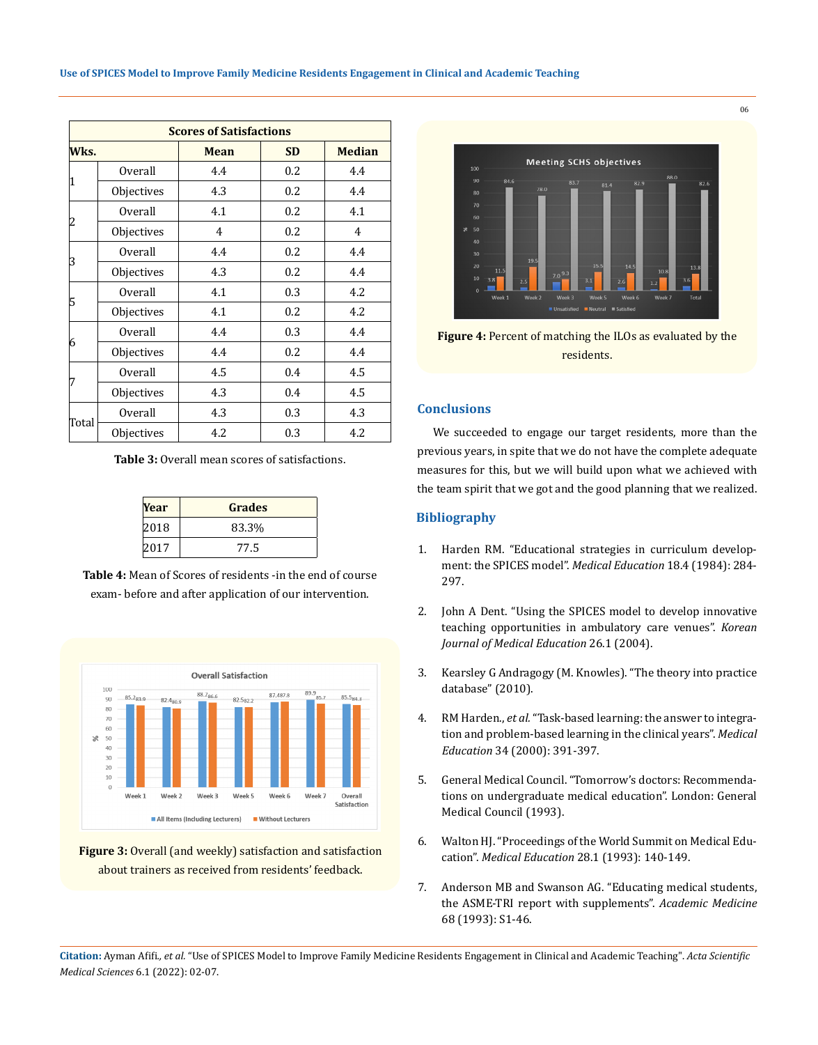| <b>Scores of Satisfactions</b> |            |      |           |               |  |  |
|--------------------------------|------------|------|-----------|---------------|--|--|
| Wks.                           |            | Mean | <b>SD</b> | <b>Median</b> |  |  |
|                                | Overall    | 4.4  | 0.2       | 4.4           |  |  |
| 1                              | Objectives | 4.3  | 0.2       | 4.4           |  |  |
|                                | Overall    | 4.1  | 0.2       | 4.1           |  |  |
| 2                              | Objectives | 4    | 0.2       | 4             |  |  |
| 3                              | Overall    | 4.4  | 0.2       | 4.4           |  |  |
|                                | Objectives | 4.3  | 0.2       | 4.4           |  |  |
|                                | Overall    | 4.1  | 0.3       | 4.2           |  |  |
| 5                              | Objectives | 4.1  | 0.2       | 4.2           |  |  |
|                                | Overall    | 4.4  | 0.3       | 4.4           |  |  |
| 6                              | Objectives | 4.4  | 0.2       | 4.4           |  |  |
|                                | Overall    | 4.5  | 0.4       | 4.5           |  |  |
| 7                              | Objectives | 4.3  | 0.4       | 4.5           |  |  |
|                                | Overall    | 4.3  | 0.3       | 4.3           |  |  |
| Total                          | Objectives | 4.2  | 0.3       | 4.2           |  |  |

**Table 3:** Overall mean scores of satisfactions.

| Year | <b>Grades</b> |
|------|---------------|
| 2018 | 83.3%         |
| 2017 | 77.5          |

**Table 4:** Mean of Scores of residents -in the end of course exam- before and after application of our intervention.



**Figure 3:** Overall (and weekly) satisfaction and satisfaction about trainers as received from residents' feedback.



**Figure 4:** Percent of matching the ILOs as evaluated by the residents.

## **Conclusions**

We succeeded to engage our target residents, more than the previous years, in spite that we do not have the complete adequate measures for this, but we will build upon what we achieved with the team spirit that we got and the good planning that we realized.

## **Bibliography**

- 1. [Harden RM. "Educational strategies in curriculum develop](https://pubmed.ncbi.nlm.nih.gov/6738402/)[ment: the SPICES model".](https://pubmed.ncbi.nlm.nih.gov/6738402/) *Medical Education* 18.4 (1984): 284- [297.](https://pubmed.ncbi.nlm.nih.gov/6738402/)
- 2. [John A Dent. "Using the SPICES model to develop innovative](https://pubmed.ncbi.nlm.nih.gov/25805074/)  [teaching opportunities in ambulatory care venues".](https://pubmed.ncbi.nlm.nih.gov/25805074/) *Korean [Journal of Medical Education](https://pubmed.ncbi.nlm.nih.gov/25805074/)* 26.1 (2004).
- 3. Kearsley G Andragogy (M. Knowles). "The theory into practice database" (2010).
- 4. RM Harden., *et al.* ["Task-based learning: the answer to integra](https://pubmed.ncbi.nlm.nih.gov/10760125/)[tion and problem-based learning in the clinical years".](https://pubmed.ncbi.nlm.nih.gov/10760125/) *Medical Education* [34 \(2000\): 391-397.](https://pubmed.ncbi.nlm.nih.gov/10760125/)
- 5. [General Medical Council. "Tomorrow's doctors: Recommenda](https://www.gmc-uk.org/-/media/documents/tomorrows-doctors-supplementary-guidance_pdf-81919983.pdf)[tions on undergraduate medical education". London: General](https://www.gmc-uk.org/-/media/documents/tomorrows-doctors-supplementary-guidance_pdf-81919983.pdf)  [Medical Council \(1993\).](https://www.gmc-uk.org/-/media/documents/tomorrows-doctors-supplementary-guidance_pdf-81919983.pdf)
- 6. [Walton HJ. "Proceedings of the World Summit on Medical Edu](https://www.ncbi.nlm.nih.gov/pmc/articles/PMC5401143/)cation". *Medical Education* [28.1 \(1993\): 140-149.](https://www.ncbi.nlm.nih.gov/pmc/articles/PMC5401143/)
- 7. [Anderson MB and Swanson AG. "Educating medical students,](https://www.milbank.org/wp-content/uploads/2016/06/Education-of-Medical-Students.pdf)  [the ASME-TRI report with supplements".](https://www.milbank.org/wp-content/uploads/2016/06/Education-of-Medical-Students.pdf) *Academic Medicine* [68 \(1993\): S1-46.](https://www.milbank.org/wp-content/uploads/2016/06/Education-of-Medical-Students.pdf)

**Citation:** Ayman Afifi*., et al.* "Use of SPICES Model to Improve Family Medicine Residents Engagement in Clinical and Academic Teaching". *Acta Scientific Medical Sciences* 6.1 (2022): 02-07.